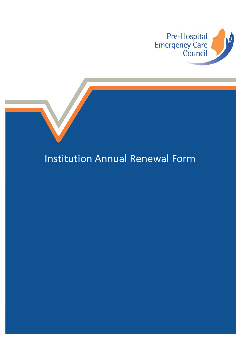

# Institution Annual Renewal Form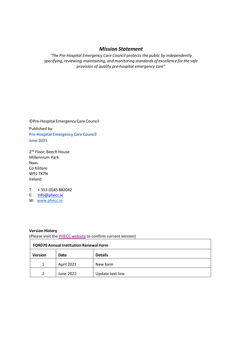### *Mission Statement*

*"The Pre-Hospital Emergency Care Council protects the public by independently specifying,reviewing,maintaining, and monitoring standards of excellence forthe safe provision of quality pre-hospital emergency care"*

©Pre-Hospital Emergency Care Council Published by: **Pre-Hospital Emergency Care Council June 2021**

2<sup>nd</sup> Floor, Beech House Millennium Park Naas Co Kildare W91 TK7N Ireland

T: + 353 (0)45 882042

E: [info@phecc.ie](mailto:info@phecc.ie)

W: [www.phecc.ie](http://www.phecc.ie/)

#### **Version History**

(**Please visit the** PHECC [website](http://www.phecc.ie/) **to confirm current version**)

| <b>FOR070 Annual Institution Renewal Form</b> |             |                  |  |  |
|-----------------------------------------------|-------------|------------------|--|--|
| <b>Version</b>                                | <b>Date</b> | <b>Details</b>   |  |  |
| 1                                             | April 2021  | New form         |  |  |
| $\mathcal{P}$                                 | June 2022   | Update text line |  |  |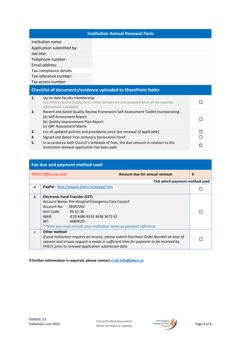#### **Institution Annual Renewal Form**

| Institution name:         |  |
|---------------------------|--|
| Application submitted by: |  |
| Job title:                |  |
| Telephone number:         |  |
| Email address:            |  |
| Tax compliance details    |  |
| Tax reference number:     |  |
| Tax access number:        |  |

## **Checklist of documents/evidence uploaded to SharePoint folder**

| 1. | Up-to-date faculty membership<br>(use PHECC Named faculty forms. Other formats are only accepted when all the required<br>information is included)                                  |  |
|----|-------------------------------------------------------------------------------------------------------------------------------------------------------------------------------------|--|
| 2. | Recent and dated Quality Review Framework Self-Assessment Toolkit incorporating -<br>(a) Self-Assessment Report<br>(b) Quality Improvement Plan Report<br>(c) QRF Assessment Matrix |  |
| 3. | List of updated policies and procedures since last renewal (if applicable)                                                                                                          |  |
| 4. | Signed and dated 'non-statutory Declaration Form'                                                                                                                                   |  |
| 5. | In accordance with Council's Schedule of Fees, the due amount in relation to this<br>institution renewal application has been paid:                                                 |  |

| Fee due and payment method used |                                                                                                                                                                                                                                                                                |   |  |  |
|---------------------------------|--------------------------------------------------------------------------------------------------------------------------------------------------------------------------------------------------------------------------------------------------------------------------------|---|--|--|
|                                 | Amount due for annual renewal<br><b>PHECC Office use only</b>                                                                                                                                                                                                                  | € |  |  |
|                                 | Tick which payment method used                                                                                                                                                                                                                                                 |   |  |  |
| a.                              | PayPal - http://paypal.phecc.ie/paypal.htm                                                                                                                                                                                                                                     |   |  |  |
| b.                              | <b>Electronic Fund Transfer (EFT)</b><br>Account Name: Pre-Hospital Emergency Care Council<br>Account No:<br>38367262<br>Sort Code: 93-32-36<br>IBAN:<br>IE29 AIBK 9332 3638 3672 62<br>BIC:<br>AIBKIE2D<br>**Note you must include your institution name as payment reference |   |  |  |
| $\mathcal{C}$ .                 | Other method<br>If your Institution requires an invoice, please submit Purchase Order Number at time of<br>request and ensure request is made in sufficient time for payment to be received by<br>PHECC prior to renewal application submission date.                          |   |  |  |

**If further information is required, please contact [ri-ati-info@phecc.ie](mailto:ri-ati-info@phecc.ie)**